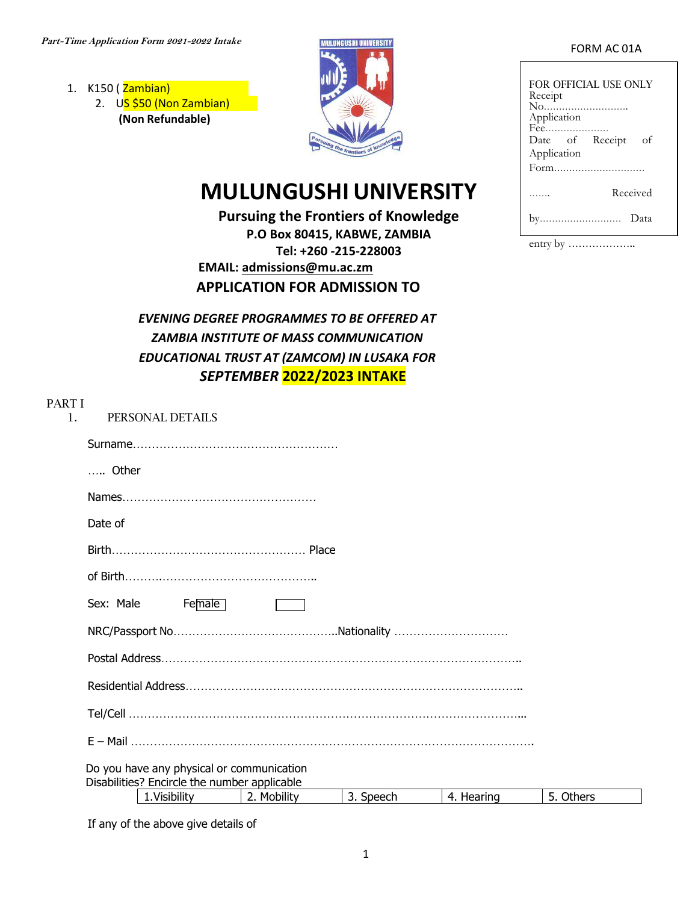- 1. K150 (Zambian) 2. US \$50 (Non Zambian)
	- **(Non Refundable)**



# **MULUNGUSHI UNIVERSITY**

**Pursuing the Frontiers of Knowledge P.O Box 80415, KABWE, ZAMBIA Tel: +260 -215-228003 EMAIL: [admissions@mu.ac.zm](mailto:admissions@mu.ac.zm) APPLICATION FOR ADMISSION TO**

*EVENING DEGREE PROGRAMMES TO BE OFFERED AT ZAMBIA INSTITUTE OF MASS COMMUNICATION EDUCATIONAL TRUST AT (ZAMCOM) IN LUSAKA FOR SEPTEMBER* **2022/2023 INTAKE**

| FOR OFFICIAL USE ONLY<br>Receipt<br>No<br>Application<br>Fee |
|--------------------------------------------------------------|
| Date of Receipt<br>οf                                        |
| Application                                                  |
| Form                                                         |
| Received                                                     |
| Data<br>.                                                    |

entry by ………………..

| PART I<br>$\mathbf{1}$ . | PERSONAL DETAILS                                                                                                                                                                                                                                                                                                                                                                                         |
|--------------------------|----------------------------------------------------------------------------------------------------------------------------------------------------------------------------------------------------------------------------------------------------------------------------------------------------------------------------------------------------------------------------------------------------------|
|                          |                                                                                                                                                                                                                                                                                                                                                                                                          |
|                          | $\dots$ Other                                                                                                                                                                                                                                                                                                                                                                                            |
|                          |                                                                                                                                                                                                                                                                                                                                                                                                          |
|                          | Date of                                                                                                                                                                                                                                                                                                                                                                                                  |
|                          |                                                                                                                                                                                                                                                                                                                                                                                                          |
|                          |                                                                                                                                                                                                                                                                                                                                                                                                          |
|                          | $F_{\text{e}}$ $\overline{F_{\text{e}}F_{\text{e}}F_{\text{e}}F_{\text{e}}F_{\text{e}}F_{\text{e}}F_{\text{e}}F_{\text{e}}F_{\text{e}}F_{\text{e}}F_{\text{e}}F_{\text{e}}F_{\text{e}}F_{\text{e}}F_{\text{e}}F_{\text{e}}F_{\text{e}}F_{\text{e}}F_{\text{e}}F_{\text{e}}F_{\text{e}}F_{\text{e}}F_{\text{e}}F_{\text{e}}F_{\text{e}}F_{\text{e}}F_{\text{e}}F_{\text{e}}F_{\text{e}}F_{\$<br>Sex: Male |
|                          |                                                                                                                                                                                                                                                                                                                                                                                                          |
|                          |                                                                                                                                                                                                                                                                                                                                                                                                          |
|                          |                                                                                                                                                                                                                                                                                                                                                                                                          |
|                          |                                                                                                                                                                                                                                                                                                                                                                                                          |
|                          |                                                                                                                                                                                                                                                                                                                                                                                                          |
|                          | Do you have any physical or communication<br>Disabilities? Encircle the number applicable                                                                                                                                                                                                                                                                                                                |

| <br>-----<br>M.<br>---<br>4<br>$\cdot$<br>- 14<br>11 |
|------------------------------------------------------|
|------------------------------------------------------|

If any of the above give details of

# FORM AC 01A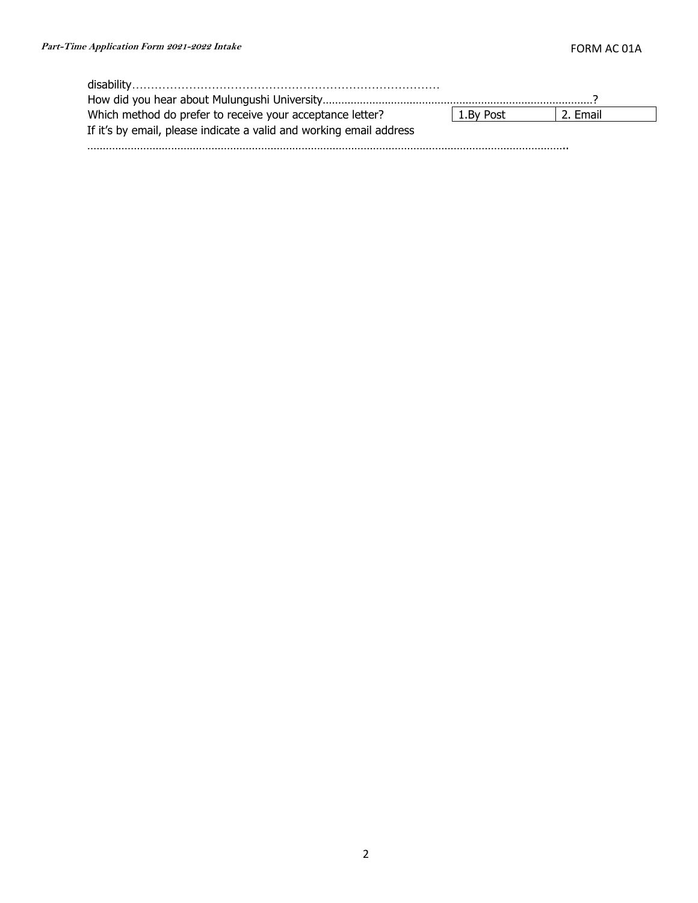| Which method do prefer to receive your acceptance letter?           | 1.By Post | 2. Email |  |
|---------------------------------------------------------------------|-----------|----------|--|
| If it's by email, please indicate a valid and working email address |           |          |  |

………………………………………………………………………………………………………………………………………..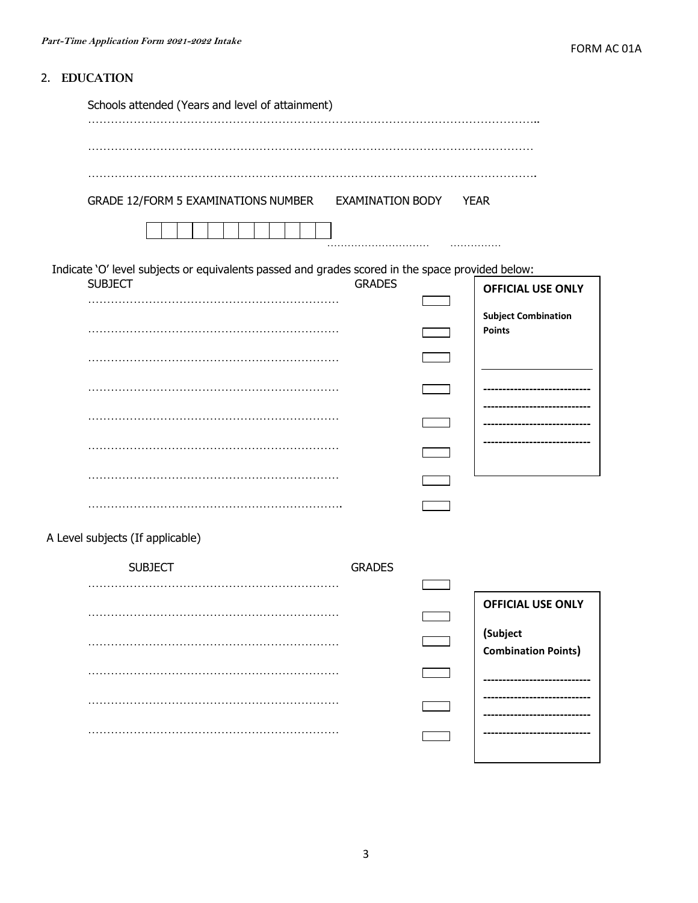# 2. EDUCATION

| Schools attended (Years and level of attainment)                                                                   |                         |                                             |
|--------------------------------------------------------------------------------------------------------------------|-------------------------|---------------------------------------------|
|                                                                                                                    |                         |                                             |
| GRADE 12/FORM 5 EXAMINATIONS NUMBER                                                                                | <b>EXAMINATION BODY</b> | <b>YEAR</b>                                 |
|                                                                                                                    |                         |                                             |
| Indicate 'O' level subjects or equivalents passed and grades scored in the space provided below:<br><b>SUBJECT</b> | <b>GRADES</b>           | <b>OFFICIAL USE ONLY</b>                    |
|                                                                                                                    |                         | <b>Subject Combination</b><br><b>Points</b> |
|                                                                                                                    |                         |                                             |
|                                                                                                                    |                         |                                             |
|                                                                                                                    |                         |                                             |
|                                                                                                                    |                         |                                             |
| A Level subjects (If applicable)<br><b>SUBJECT</b>                                                                 | <b>GRADES</b>           |                                             |
|                                                                                                                    |                         |                                             |
|                                                                                                                    |                         | <b>OFFICIAL USE ONLY</b>                    |
|                                                                                                                    |                         | (Subject<br><b>Combination Points)</b>      |
|                                                                                                                    |                         |                                             |
|                                                                                                                    |                         |                                             |
|                                                                                                                    |                         |                                             |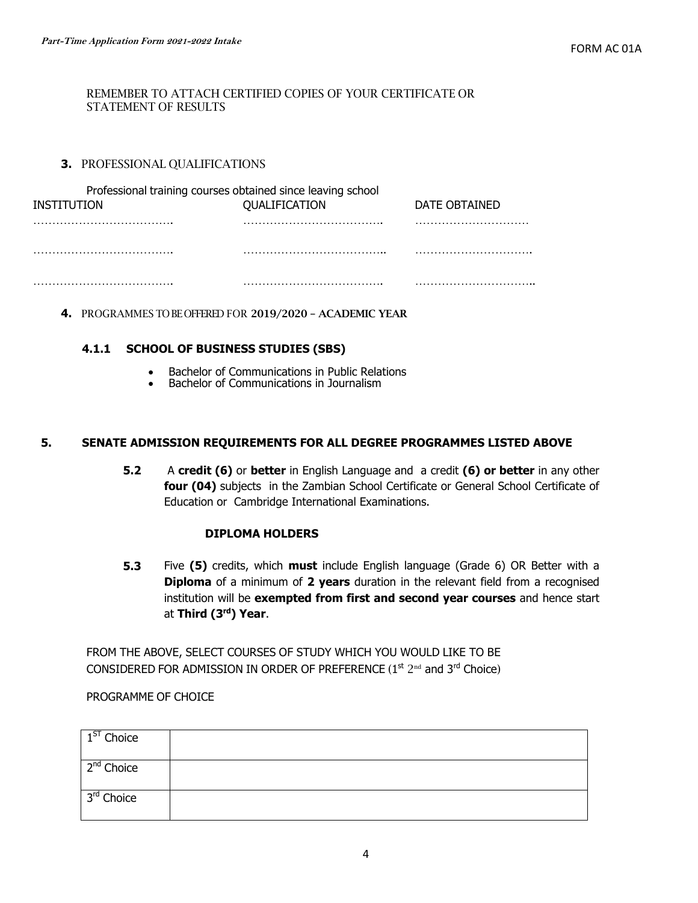#### REMEMBER TO ATTACH CERTIFIED COPIES OF YOUR CERTIFICATE OR STATEMENT OF RESULTS

## **3.** PROFESSIONAL QUALIFICATIONS

| Professional training courses obtained since leaving school |               |               |
|-------------------------------------------------------------|---------------|---------------|
| INSTITUTION                                                 | QUALIFICATION | DATE OBTAINED |
|                                                             |               |               |
|                                                             |               |               |
|                                                             |               |               |

**4.** PROGRAMMES TO BE OFFERED FOR 2019/2020 – ACADEMIC YEAR

### **4.1.1 SCHOOL OF BUSINESS STUDIES (SBS)**

- Bachelor of Communications in Public Relations
- Bachelor of Communications in Journalism

#### **5. SENATE ADMISSION REQUIREMENTS FOR ALL DEGREE PROGRAMMES LISTED ABOVE**

**5.2** A **credit (6)** or **better** in English Language and a credit **(6) or better** in any other **four (04)** subjects in the Zambian School Certificate or General School Certificate of Education or Cambridge International Examinations.

#### **DIPLOMA HOLDERS**

**5.3** Five **(5)** credits, which **must** include English language (Grade 6) OR Better with a **Diploma** of a minimum of **2 years** duration in the relevant field from a recognised institution will be **exempted from first and second year courses** and hence start at **Third (3rd) Year**.

FROM THE ABOVE, SELECT COURSES OF STUDY WHICH YOU WOULD LIKE TO BE CONSIDERED FOR ADMISSION IN ORDER OF PREFERENCE  $(1^{st} 2^{nd}$  and  $3^{rd}$  Choice)

#### PROGRAMME OF CHOICE

| $1ST$ Choice           |  |
|------------------------|--|
| 2 <sup>nd</sup> Choice |  |
| 3 <sup>rd</sup> Choice |  |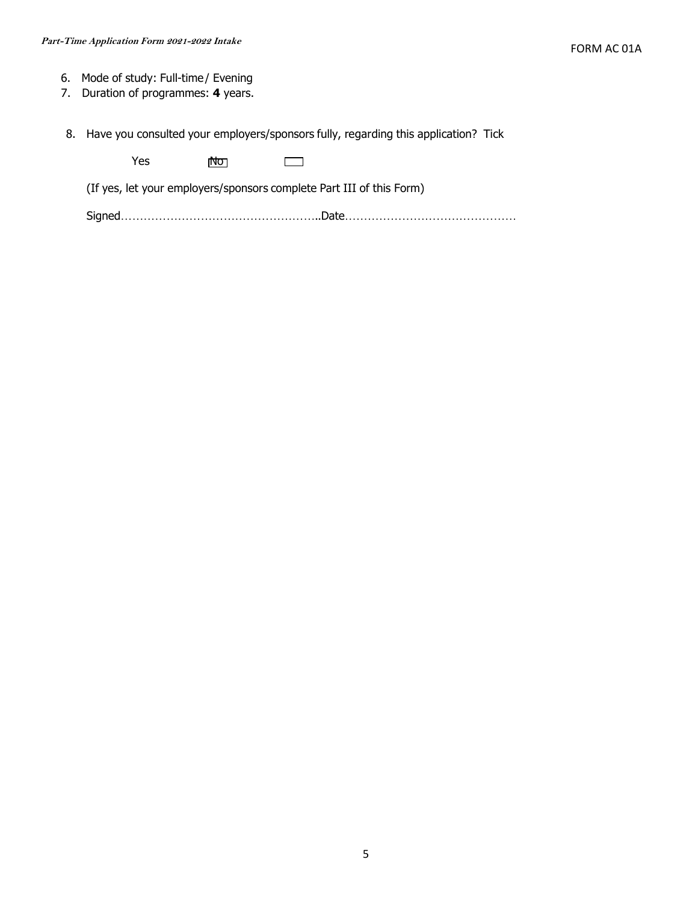- 6. Mode of study: Full-time / Evening
- 7. Duration of programmes: **4** years.
- 8. Have you consulted your employers/sponsors fully, regarding this application? Tick

Yes Mo  $\Box$ 

(If yes, let your employers/sponsors complete Part III of this Form)

Signed……………………………………………..Date………………………………………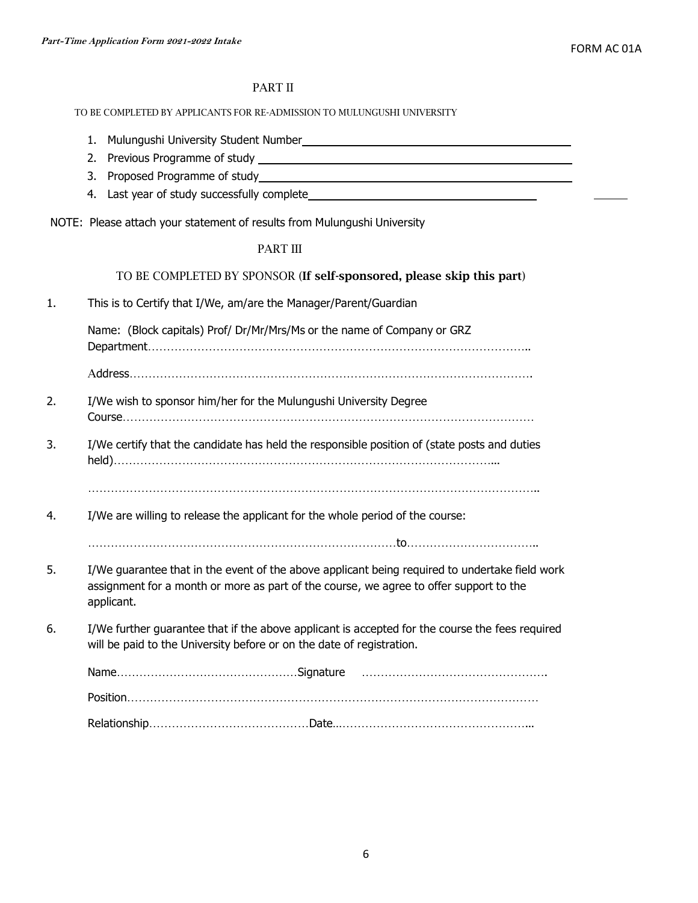#### PART II

#### TO BE COMPLETED BY APPLICANTS FOR RE-ADMISSION TO MULUNGUSHI UNIVERSITY

- 1. Mulungushi University Student Number
- 2. Previous Programme of study
- 3. Proposed Programme of study
- 4. Last year of study successfully complete

NOTE: Please attach your statement of results from Mulungushi University

#### PART III

#### TO BE COMPLETED BY SPONSOR (If self-sponsored, please skip this part)

1. This is to Certify that I/We, am/are the Manager/Parent/Guardian

Name: (Block capitals) Prof/ Dr/Mr/Mrs/Ms or the name of Company or GRZ

Department………………………………………………………………………………………..

Address…………………………………………………………………………………………….

- 2. I/We wish to sponsor him/her for the Mulungushi University Degree Course………………………………………………………………………………………………
- 3. I/We certify that the candidate has held the responsible position of (state posts and duties held)………………………………………………………………………………………...

………………………………………………………………………………………………………..

4. I/We are willing to release the applicant for the whole period of the course:

………………………………………………………………………to……………………………..

- 5. I/We guarantee that in the event of the above applicant being required to undertake field work assignment for a month or more as part of the course, we agree to offer support to the applicant.
- 6. I/We further guarantee that if the above applicant is accepted for the course the fees required will be paid to the University before or on the date of registration.